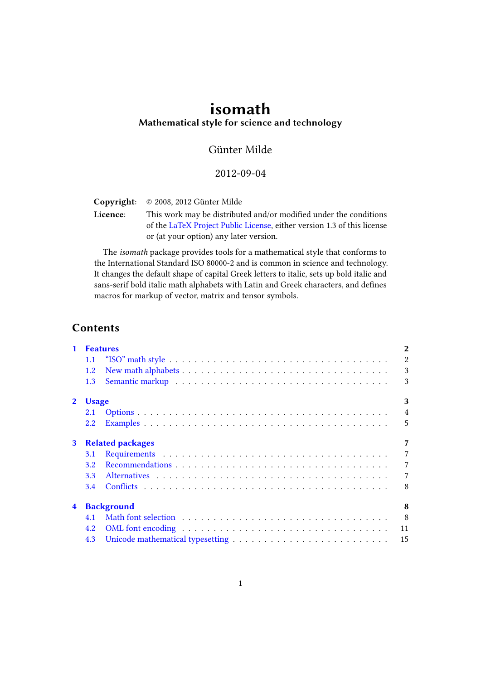# isomath Mathematical style for science and technology

## Günter Milde

## 2012-09-04

Copyright: © 2008, 2012 Günter Milde

Licence: This work may be distributed and/or modified under the conditions of the [LaTeX Project Public License,](http://www.latex-project.org/lppl.txt) either version 1.3 of this license or (at your option) any later version.

The isomath package provides tools for a mathematical style that conforms to the International Standard ISO 80000-2 and is common in science and technology. It changes the default shape of capital Greek letters to italic, sets up bold italic and sans-serif bold italic math alphabets with Latin and Greek characters, and defines macros for markup of vector, matrix and tensor symbols.

## **Contents**

| $\mathbf{1}$            |                  | <b>Features</b>         | $\overline{2}$ |
|-------------------------|------------------|-------------------------|----------------|
|                         | 1.1              |                         | $\overline{2}$ |
|                         | 1.2              |                         | 3              |
|                         | 1.3              |                         | 3              |
| $\mathbf{2}$            | <b>Usage</b>     |                         | 3              |
|                         | 2.1              |                         | $\overline{4}$ |
|                         | 2.2              |                         | 5              |
| 3                       |                  | <b>Related packages</b> | 7              |
|                         | 3.1              |                         | $\overline{7}$ |
|                         | 3.2 <sub>1</sub> |                         | $\overline{7}$ |
|                         | 3.3              |                         | $\overline{7}$ |
|                         | 3.4              |                         | 8              |
| $\overline{\mathbf{4}}$ |                  | <b>Background</b>       | 8              |
|                         | 4.1              |                         | 8              |
|                         | 4.2              |                         | 11             |
|                         | 4.3              |                         | 15             |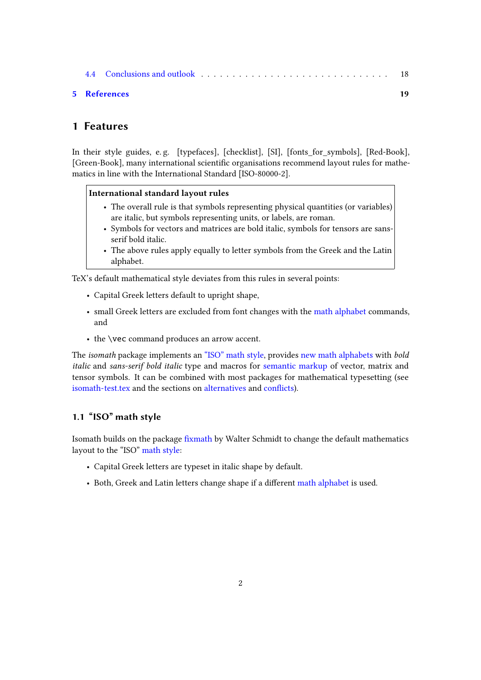|  | 5 References |  |  |  |  |  |  |  |  |  |  |  |
|--|--------------|--|--|--|--|--|--|--|--|--|--|--|
|  |              |  |  |  |  |  |  |  |  |  |  |  |

## <span id="page-1-0"></span>1 Features

In their style guides, e. g. [\[typefaces\]](#page-18-1), [\[checklist\]](#page-18-2), [\[SI\]](#page-18-3), [\[fonts\\_for\\_symbols\]](#page-18-4), [\[Red-Book\]](#page-18-5), [\[Green-Book\]](#page-18-6), many international scientific organisations recommend layout rules for mathematics in line with the International Standard [\[ISO-80000-2\]](#page-18-7).

#### International standard layout rules

- The overall rule is that symbols representing physical quantities (or variables) are italic, but symbols representing units, or labels, are roman.
- Symbols for vectors and matrices are bold italic, symbols for tensors are sansserif bold italic.
- The above rules apply equally to letter symbols from the Greek and the Latin alphabet.

TeX's default mathematical style deviates from this rules in several points:

- Capital Greek letters default to upright shape,
- small Greek letters are excluded from font changes with the [math alphabet](#page-8-0) commands, and
- the \vec command produces an arrow accent.

The isomath package implements an ["ISO" math style,](#page-1-1) provides [new math alphabets](#page-2-0) with bold italic and sans-serif bold italic type and macros for [semantic markup](#page-2-1) of vector, matrix and tensor symbols. It can be combined with most packages for mathematical typesetting (see <isomath-test.tex> and the sections on [alternatives](#page-6-3) and conflicts).

## <span id="page-1-1"></span>1.1 "ISO" math style

Isomath builds on the package fixmath by Walter Schmidt to change the default mathematics layout to the "ISO" [math style:](#page-9-0)

- Capital Greek letters are typeset in italic shape by default.
- Both, Greek and Latin letters change shape if a different [math alphabet](#page-8-0) is used.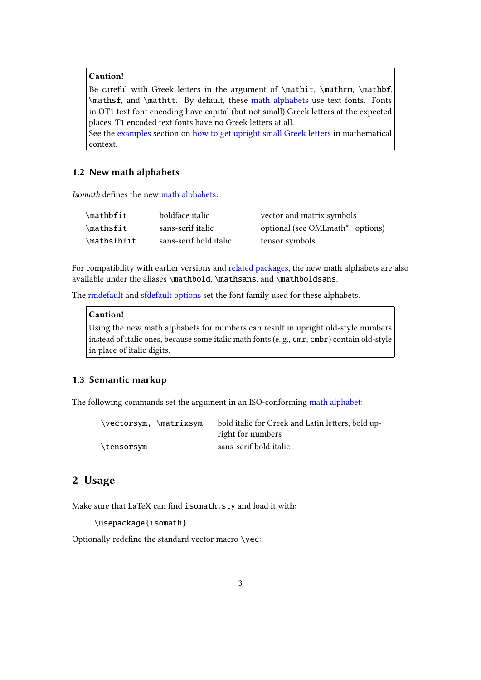## Caution!

Be careful with Greek letters in the argument of \mathit, \mathrm, \mathbf, \mathsf, and \mathtt. By default, these [math alphabets](#page-8-0) use text fonts. Fonts in OT1 text font encoding have capital (but not small) Greek letters at the expected places, T1 encoded text fonts have no Greek letters at all.

See the [examples](#page-4-0) section on [how to get upright small Greek letters](#page-5-0) in mathematical context.

#### <span id="page-2-0"></span>1.2 New math alphabets

Isomath defines the new [math alphabets:](#page-8-0)

| $\mathcal{L}$ | boldface italic        | vector and matrix symbols                   |
|---------------|------------------------|---------------------------------------------|
| $\mathcal{L}$ | sans-serif italic      | optional (see OMLmath <sup>*</sup> options) |
| $\mathcal{L}$ | sans-serif bold italic | tensor symbols                              |

For compatibility with earlier versions and [related packages,](#page-6-0) the new math alphabets are also available under the aliases \mathbold, \mathsans, and \mathboldsans.

The [rmdefault](#page-3-1) and [sfdefault](#page-3-2) [options](#page-3-0) set the font family used for these alphabets.

## Caution!

Using the new math alphabets for numbers can result in upright old-style numbers instead of italic ones, because some italic math fonts (e. g., cmr, cmbr) contain old-style in place of italic digits.

#### <span id="page-2-1"></span>1.3 Semantic markup

The following commands set the argument in an ISO-conforming [math alphabet:](#page-8-0)

| \vectorsym, \matrixsym | bold italic for Greek and Latin letters, bold up- |
|------------------------|---------------------------------------------------|
|                        | right for numbers                                 |
| \tensorsym             | sans-serif bold italic                            |

## <span id="page-2-2"></span>2 Usage

Make sure that LaTeX can find isomath.sty and load it with:

```
\usepackage{isomath}
```
Optionally redefine the standard vector macro  $\vee$ ec: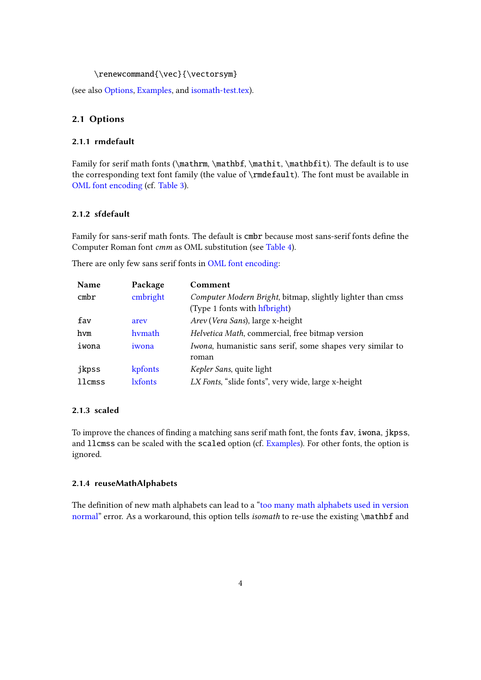#### \renewcommand{\vec}{\vectorsym}

(see also [Options,](#page-3-0) [Examples,](#page-4-0) and [isomath-test.tex\)](isomath-test.tex).

## <span id="page-3-0"></span>2.1 Options

### <span id="page-3-1"></span>2.1.1 rmdefault

Family for serif math fonts (\mathrm, \mathbf, \mathit, \mathbfit). The default is to use the corresponding text font family (the value of \rmdefault). The font must be available in [OML font encoding](#page-10-0) (cf. [Table 3\)](#page-12-0).

#### <span id="page-3-2"></span>2.1.2 sfdefault

Family for sans-serif math fonts. The default is cmbr because most sans-serif fonts define the Computer Roman font cmm as OML substitution (see [Table 4\)](#page-13-0).

There are only few sans serif fonts in [OML font encoding:](#page-10-0)

| <b>Name</b> | Package        | Comment                                                                                    |
|-------------|----------------|--------------------------------------------------------------------------------------------|
| cmbr        | cmbright       | Computer Modern Bright, bitmap, slightly lighter than cmss<br>(Type 1 fonts with hfbright) |
| fav         | arev           | Arev (Vera Sans), large x-height                                                           |
| hvm         | hymath         | Helvetica Math, commercial, free bitmap version                                            |
| iwona       | iwona          | Iwona, humanistic sans serif, some shapes very similar to<br>roman                         |
| jkpss       | kpfonts        | Kepler Sans, quite light                                                                   |
| llcmss      | <b>Exfonts</b> | LX Fonts, "slide fonts", very wide, large x-height                                         |

#### 2.1.3 scaled

To improve the chances of finding a matching sans serif math font, the fonts fav, iwona, jkpss, and llcmss can be scaled with the scaled option (cf. [Examples\)](#page-4-0). For other fonts, the option is ignored.

#### <span id="page-3-3"></span>2.1.4 reuseMathAlphabets

The definition of new math alphabets can lead to a ["too many math alphabets used in version](#page-7-3) [normal"](#page-7-3) error. As a workaround, this option tells *isomath* to re-use the existing \mathbf and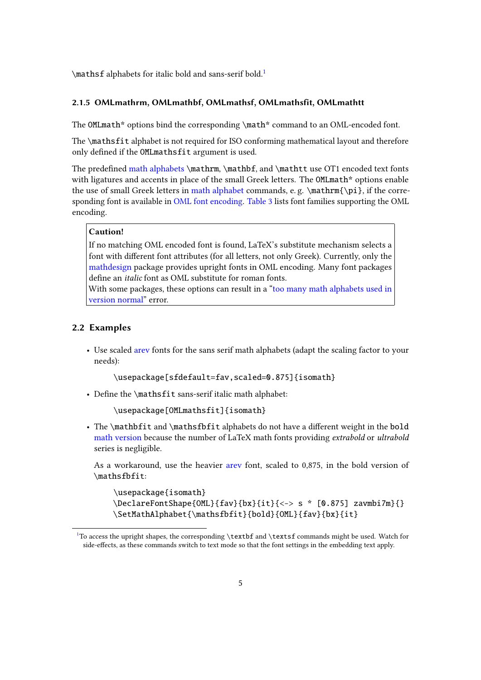<span id="page-4-2"></span>\mathsf alphabets for italic bold and sans-serif bold.[1](#page-4-1)

#### <span id="page-4-3"></span>2.1.5 OMLmathrm, OMLmathbf, OMLmathsf, OMLmathsfit, OMLmathtt

The OMLmath\* options bind the corresponding \math\* command to an OML-encoded font.

The \mathsfit alphabet is not required for ISO conforming mathematical layout and therefore only defined if the OMLmathsfit argument is used.

The predefined [math alphabets](#page-8-0)  $\mathbf{f}$ ,  $\mathbf{f}$ , and  $\mathbf{f}$  use OT1 encoded text fonts with ligatures and accents in place of the small Greek letters. The OMLmath\* options enable the use of small Greek letters in [math alphabet](#page-8-0) commands, e.g.  $\mathbb{p}_i$ ,  $\in \mathbb{p}_i$ , if the corresponding font is available in [OML font encoding.](#page-10-0) [Table 3](#page-12-0) lists font families supporting the OML encoding.

#### Caution!

If no matching OML encoded font is found, LaTeX's substitute mechanism selects a font with different font attributes (for all letters, not only Greek). Currently, only the [mathdesign](http://mirror.ctan.org/help/Catalogue/entries/mathdesign.html) package provides upright fonts in OML encoding. Many font packages define an *italic* font as OML substitute for roman fonts.

With some packages, these options can result in a ["too many math alphabets used in](#page-7-3) [version normal"](#page-7-3) error.

#### <span id="page-4-0"></span>2.2 Examples

• Use scaled [arev](http://mirror.ctan.org/help/Catalogue/entries/arev.html) fonts for the sans serif math alphabets (adapt the scaling factor to your needs):

\usepackage[sfdefault=fav,scaled=0.875]{isomath}

• Define the  $\mathsf{lit}$  sans-serif italic math alphabet:

\usepackage[OMLmathsfit]{isomath}

• The \mathbfit and \mathsfbfit alphabets do not have a different weight in the bold [math version](#page-8-1) because the number of LaTeX math fonts providing extrabold or ultrabold series is negligible.

As a workaround, use the heavier [arev](http://mirror.ctan.org/help/Catalogue/entries/arev.html) font, scaled to 0,875, in the bold version of \mathsfbfit:

```
\usepackage{isomath}
\DeclareFontShape{OML}{fav}{bx}{it}{<-> s * [0.875] zavmbi7m}{}
\SetMathAlphabet{\mathsfbfit}{bold}{OML}{fav}{bx}{it}
```
<span id="page-4-1"></span> $1$ To access the upright shapes, the corresponding \textbf and \textsf commands might be used. Watch for side-effects, as these commands switch to text mode so that the font settings in the embedding text apply.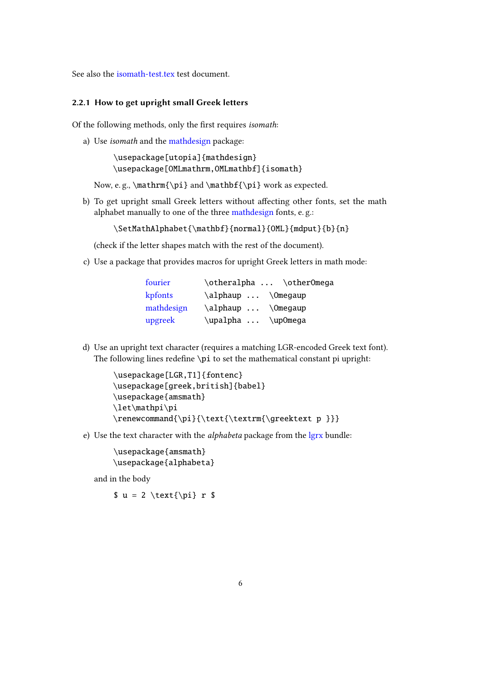See also the <isomath-test.tex> test document.

#### <span id="page-5-0"></span>2.2.1 How to get upright small Greek letters

Of the following methods, only the first requires isomath:

a) Use isomath and the [mathdesign](http://mirror.ctan.org/help/Catalogue/entries/mathdesign.html) package:

\usepackage[utopia]{mathdesign} \usepackage[OMLmathrm,OMLmathbf]{isomath}

Now, e.g., \mathrm{\pi} and \mathbf{\pi} work as expected.

b) To get upright small Greek letters without affecting other fonts, set the math alphabet manually to one of the three [mathdesign](http://mirror.ctan.org/help/Catalogue/entries/mathdesign.html) fonts, e. g.:

\SetMathAlphabet{\mathbf}{normal}{OML}{mdput}{b}{n}

(check if the letter shapes match with the rest of the document).

c) Use a package that provides macros for upright Greek letters in math mode:

| fourier    |                    | \otheralpha  \otherOmega |
|------------|--------------------|--------------------------|
| kpfonts    | \alphaup  \Omegaup |                          |
| mathdesign | \alphaup  \Omegaup |                          |
| upgreek    | \upalpha  \upOmega |                          |

d) Use an upright text character (requires a matching LGR-encoded Greek text font). The following lines redefine  $\pi$  to set the mathematical constant pi upright:

```
\usepackage[LGR,T1]{fontenc}
\usepackage[greek,british]{babel}
\usepackage{amsmath}
\let\mathpi\pi
\renewcommand{\pi}{\text{\textrm{\greektext p }}}
```
e) Use the text character with the alphabeta package from the [lgrx](http://mirror.ctan.org/help/Catalogue/entries/lgrx.html) bundle:

\usepackage{amsmath} \usepackage{alphabeta}

and in the body

 $$ u = 2 \text{\pi} r $$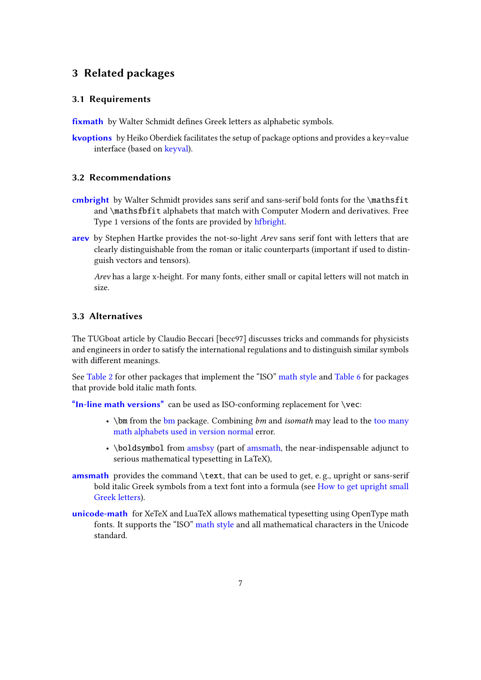## <span id="page-6-0"></span>3 Related packages

#### <span id="page-6-1"></span>3.1 Requirements

fixmath by Walter Schmidt defines Greek letters as alphabetic symbols.

[kvoptions](http://mirror.ctan.org/help/Catalogue/entries/kvoptions.html) by Heiko Oberdiek facilitates the setup of package options and provides a key=value interface (based on [keyval\)](http://mirror.ctan.org/help/Catalogue/entries/keyval.html).

#### <span id="page-6-2"></span>3.2 Recommendations

- [cmbright](http://mirror.ctan.org/help/Catalogue/entries/cmbright.html) by Walter Schmidt provides sans serif and sans-serif bold fonts for the \mathsfit and \mathsfbfit alphabets that match with Computer Modern and derivatives. Free Type 1 versions of the fonts are provided by [hfbright.](http://mirror.ctan.org/help/Catalogue/entries/hfbright.html)
- [arev](http://mirror.ctan.org/help/Catalogue/entries/arev.html) by Stephen Hartke provides the not-so-light Arev sans serif font with letters that are clearly distinguishable from the roman or italic counterparts (important if used to distinguish vectors and tensors).

Arev has a large x-height. For many fonts, either small or capital letters will not match in size.

### <span id="page-6-3"></span>3.3 Alternatives

The TUGboat article by Claudio Beccari [\[becc97\]](#page-18-8) discusses tricks and commands for physicists and engineers in order to satisfy the international regulations and to distinguish similar symbols with different meanings.

See [Table 2](#page-10-1) for other packages that implement the "ISO" [math style](#page-9-0) and [Table 6](#page-16-0) for packages that provide bold italic math fonts.

["In-line math versions"](#page-9-1) can be used as ISO-conforming replacement for  $\vec{c}$ 

- \[bm](http://mirror.ctan.org/help/Catalogue/entries/bm.html) from the bm package. Combining  $bm$  and isomath may lead to the [too many](#page-7-3) [math alphabets used in version normal](#page-7-3) error.
- \boldsymbol from [amsbsy](http://mirror.ctan.org/help/Catalogue/entries/amsbsy.html) (part of [amsmath,](http://mirror.ctan.org/help/Catalogue/entries/amsmath.html) the near-indispensable adjunct to serious mathematical typesetting in LaTeX),
- [amsmath](http://mirror.ctan.org/help/Catalogue/entries/amsmath.html) provides the command \text, that can be used to get, e.g., upright or sans-serif bold italic Greek symbols from a text font into a formula (see [How to get upright small](#page-5-0) [Greek letters\)](#page-5-0).
- [unicode-math](http://mirror.ctan.org/help/Catalogue/entries/unicode-math.html) for XeTeX and LuaTeX allows mathematical typesetting using OpenType math fonts. It supports the "ISO" [math style](#page-9-0) and all mathematical characters in the Unicode standard.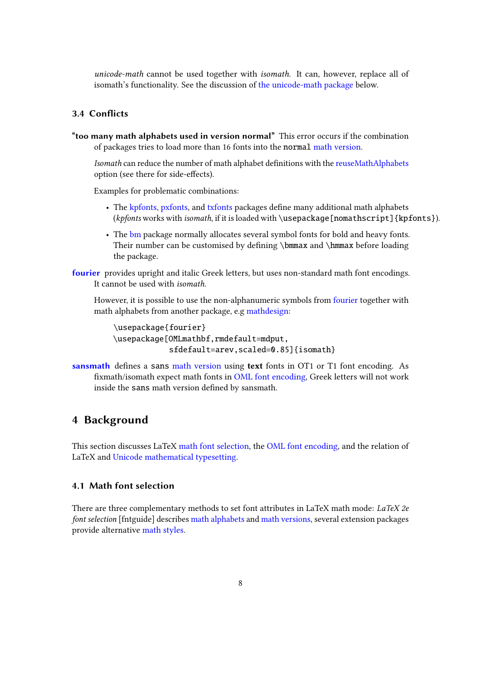unicode-math cannot be used together with isomath. It can, however, replace all of isomath's functionality. See the discussion of [the unicode-math package](#page-17-1) below.

## <span id="page-7-0"></span>3.4 Conflicts

<span id="page-7-3"></span>"too many math alphabets used in version normal" This error occurs if the combination of packages tries to load more than 16 fonts into the normal [math version.](#page-8-1)

Isomath can reduce the number of math alphabet definitions with the [reuseMathAlphabets](#page-3-3) option (see there for side-effects).

Examples for problematic combinations:

- The [kpfonts,](http://mirror.ctan.org/help/Catalogue/entries/kpfonts.html) [pxfonts,](http://mirror.ctan.org/help/Catalogue/entries/pxfonts.html) and [txfonts](http://mirror.ctan.org/help/Catalogue/entries/txfonts.html) packages define many additional math alphabets (kpfonts works with isomath, if it is loaded with \usepackage[nomathscript]{kpfonts}).
- The [bm](http://mirror.ctan.org/help/Catalogue/entries/bm.html) package normally allocates several symbol fonts for bold and heavy fonts. Their number can be customised by defining  $\bm{x}$  and  $\bm{x}$  before loading the package.
- [fourier](http://mirror.ctan.org/help/Catalogue/entries/fourier.html) provides upright and italic Greek letters, but uses non-standard math font encodings. It cannot be used with isomath.

However, it is possible to use the non-alphanumeric symbols from [fourier](http://mirror.ctan.org/help/Catalogue/entries/fourier.html) together with math alphabets from another package, e.g [mathdesign:](http://mirror.ctan.org/help/Catalogue/entries/mathdesign.html)

```
\usepackage{fourier}
\usepackage[OMLmathbf,rmdefault=mdput,
            sfdefault=arev,scaled=0.85]{isomath}
```
[sansmath](http://mirror.ctan.org/help/Catalogue/entries/sansmath.html) defines a sans [math version](#page-8-1) using text fonts in OT1 or T1 font encoding. As fixmath/isomath expect math fonts in [OML font encoding,](#page-10-0) Greek letters will not work inside the sans math version defined by sansmath.

## <span id="page-7-1"></span>4 Background

This section discusses LaTeX [math font selection,](#page-7-2) the [OML font encoding,](#page-10-0) and the relation of LaTeX and [Unicode mathematical typesetting.](#page-14-0)

### <span id="page-7-2"></span>4.1 Math font selection

There are three complementary methods to set font attributes in LaTeX math mode: LaTeX 2e font selection [\[fntguide\]](#page-18-9) describes [math alphabets](#page-8-0) and [math versions,](#page-8-1) several extension packages provide alternative [math styles.](#page-9-0)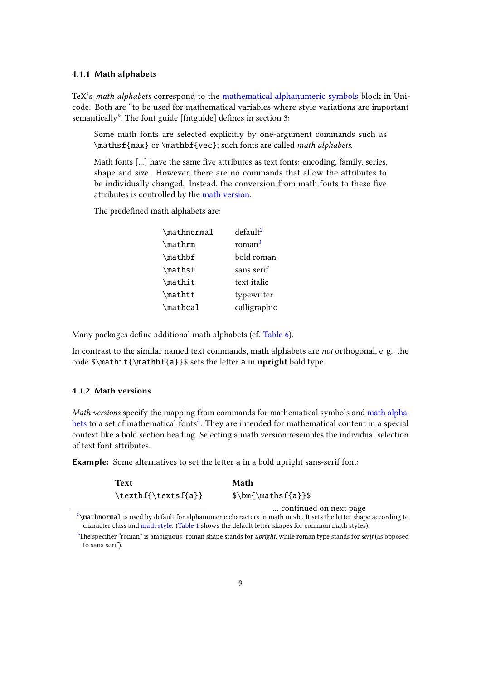#### <span id="page-8-0"></span>4.1.1 Math alphabets

TeX's math alphabets correspond to the [mathematical alphanumeric symbols](#page-14-1) block in Unicode. Both are "to be used for mathematical variables where style variations are important semantically". The font guide [\[fntguide\]](#page-18-9) defines in section 3:

Some math fonts are selected explicitly by one-argument commands such as \mathsf{max} or \mathbf{vec}; such fonts are called math alphabets.

Math fonts  $[\dots]$  have the same five attributes as text fonts: encoding, family, series, shape and size. However, there are no commands that allow the attributes to be individually changed. Instead, the conversion from math fonts to these five attributes is controlled by the [math version.](#page-8-1)

<span id="page-8-7"></span>The predefined math alphabets are:

<span id="page-8-5"></span><span id="page-8-4"></span>

| \mathnormal   | default <sup>2</sup> |
|---------------|----------------------|
| $\mathcal{L}$ | roman <sup>3</sup>   |
| $\mathcal{L}$ | bold roman           |
| \mathsf       | sans serif           |
| \mathit       | text italic          |
| \mathtt       | typewriter           |
| \mathcal      | calligraphic         |

Many packages define additional math alphabets (cf. [Table 6\)](#page-16-0).

In contrast to the similar named text commands, math alphabets are *not* orthogonal, e.g., the code  $\mathbf{\mathbf{a}}\$  sets the letter a in upright bold type.

#### <span id="page-8-1"></span>4.1.2 Math versions

Math versions specify the mapping from commands for mathematical symbols and [math alpha](#page-8-0)[bets](#page-8-0) to a set of mathematical fonts<sup>[4](#page-9-2)</sup>. They are intended for mathematical content in a special context like a bold section heading. Selecting a math version resembles the individual selection of text font attributes.

Example: Some alternatives to set the letter a in a bold upright sans-serif font:

<span id="page-8-6"></span>

| Text                | Math                   |
|---------------------|------------------------|
| \textbf{\textsf{a}} | $\mathbf{\mathbf{a}}$  |
|                     | continued on next page |

<span id="page-8-2"></span> $2\$  $2\$ mathnormal is used by default for alphanumeric characters in math mode. It sets the letter shape according to character class and [math style.](#page-9-0) [\(Table 1](#page-9-3) shows the default letter shapes for common math styles).

<span id="page-8-3"></span><sup>&</sup>lt;sup>[3](#page-8-5)</sup>The specifier "roman" is ambiguous: roman shape stands for *upright*, while roman type stands for *serif* (as opposed to sans serif).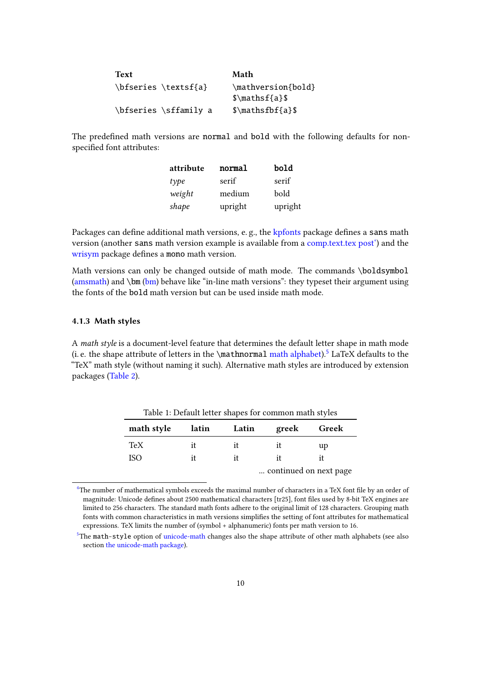| <b>Text</b>           | Math                     |
|-----------------------|--------------------------|
| \bfseries \textsf{a}  | \mathversion{bold}       |
|                       | $\mathcal{S}\mathcal{S}$ |
| \bfseries \sffamily a | $\mathcal{S}\mathcal{S}$ |

The predefined math versions are normal and bold with the following defaults for nonspecified font attributes:

<span id="page-9-1"></span>

| attribute | normal  | bold    |
|-----------|---------|---------|
| type      | serif   | serif   |
| weight    | medium  | bold    |
| shape     | upright | upright |

Packages can define additional math versions, e.g., the [kpfonts](http://mirror.ctan.org/help/Catalogue/entries/kpfonts.html) package defines a sans math version (another sans math version example is available from a [comp.text.tex post'\)](http://newsgroups.derkeiler.com/Archive/Comp/comp.text.tex/2007-09/msg00181.html) and the [wrisym](http://phong.informatik.uni-leipzig.de/~kuska/wri_texmf_4.2.zip) package defines a mono math version.

Math versions can only be changed outside of math mode. The commands \boldsymbol [\(amsmath\)](http://mirror.ctan.org/help/Catalogue/entries/amsmath.html) and  $\bm{\theta}$ ) behave like "in-line math versions": they typeset their argument using the fonts of the bold math version but can be used inside math mode.

#### <span id="page-9-0"></span>4.1.3 Math styles

A math style is a document-level feature that determines the default letter shape in math mode (i. e. the shape attribute of letters in the  $\mathcal{L}$  mathnormal [math alphabet\)](#page-8-0).<sup>[5](#page-9-4)</sup> LaTeX defaults to the "TeX" math style (without naming it such). Alternative math styles are introduced by extension packages [\(Table 2\)](#page-10-1).

<span id="page-9-5"></span><span id="page-9-3"></span>

| Table 1: Default letter shapes for common math styles |       |       |       |                        |  |  |  |
|-------------------------------------------------------|-------|-------|-------|------------------------|--|--|--|
| math style                                            | latin | Latin | greek | Greek                  |  |  |  |
| TeX                                                   | it    | it    | it    | up                     |  |  |  |
| <b>ISO</b>                                            | it    | it    | it    | it                     |  |  |  |
|                                                       |       |       |       | continued on next page |  |  |  |

<span id="page-9-2"></span><sup>&</sup>lt;sup>[4](#page-8-6)</sup>The number of mathematical symbols exceeds the maximal number of characters in a TeX font file by an order of magnitude: Unicode defines about 2500 mathematical characters [\[tr25\]](#page-19-0), font files used by 8-bit TeX engines are limited to 256 characters. The standard math fonts adhere to the original limit of 128 characters. Grouping math fonts with common characteristics in math versions simplifies the setting of font attributes for mathematical expressions. TeX limits the number of (symbol + alphanumeric) fonts per math version to 16.

<span id="page-9-4"></span> $5$ The math-style option of [unicode-math](http://mirror.ctan.org/help/Catalogue/entries/unicode-math.html) changes also the shape attribute of other math alphabets (see also section [the unicode-math package\)](#page-17-1).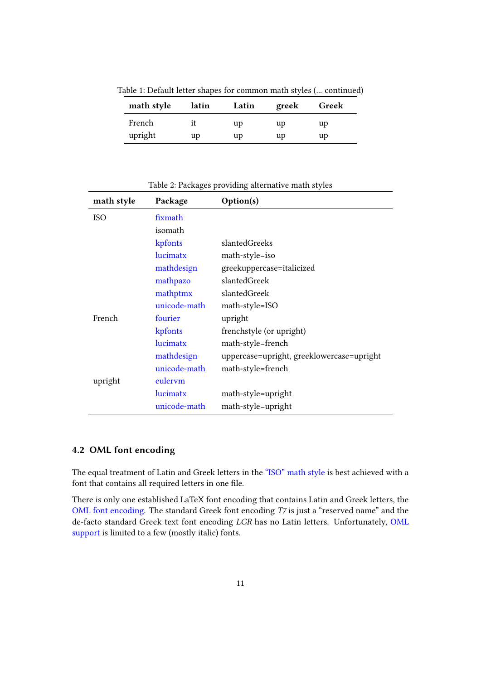Table 1: Default letter shapes for common math styles (... continued)

| math style | latin | Latin | greek | Greek |
|------------|-------|-------|-------|-------|
| French     |       | up    | up    | up    |
| upright    | up    | up    | up    | up    |

Table 2: Packages providing alternative math styles

<span id="page-10-1"></span>

| math style | Package      | Option(s)                                 |
|------------|--------------|-------------------------------------------|
| <b>ISO</b> | fixmath      |                                           |
|            | isomath      |                                           |
|            | kpfonts      | slantedGreeks                             |
|            | lucimatx     | math-style=iso                            |
|            | mathdesign   | greekuppercase=italicized                 |
|            | mathpazo     | slantedGreek                              |
|            | mathptmx     | slantedGreek                              |
|            | unicode-math | math-style=ISO                            |
| French     | fourier      | upright                                   |
|            | kpfonts      | frenchstyle (or upright)                  |
|            | lucimatx     | math-style=french                         |
|            | mathdesign   | uppercase=upright, greeklowercase=upright |
|            | unicode-math | math-style=french                         |
| upright    | eulerym      |                                           |
|            | lucimatx     | math-style=upright                        |
|            | unicode-math | math-style=upright                        |

## <span id="page-10-0"></span>4.2 OML font encoding

The equal treatment of Latin and Greek letters in the ["ISO" math style](#page-1-1) is best achieved with a font that contains all required letters in one file.

There is only one established LaTeX font encoding that contains Latin and Greek letters, the [OML font encoding.](#page-10-0) The standard Greek font encoding T7 is just a "reserved name" and the de-facto standard Greek text font encoding LGR has no Latin letters. Unfortunately, [OML](#page-11-0) [support](#page-11-0) is limited to a few (mostly italic) fonts.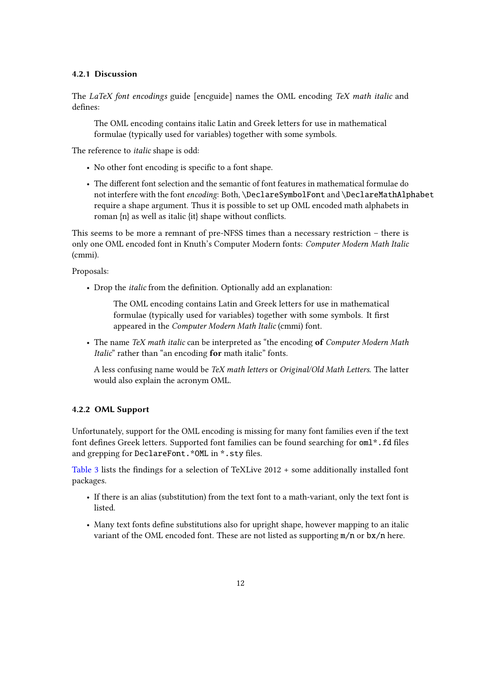#### 4.2.1 Discussion

The LaTeX font encodings guide [\[encguide\]](#page-18-10) names the OML encoding TeX math italic and defines:

The OML encoding contains italic Latin and Greek letters for use in mathematical formulae (typically used for variables) together with some symbols.

The reference to italic shape is odd:

- No other font encoding is specific to a font shape.
- The different font selection and the semantic of font features in mathematical formulae do not interfere with the font encoding: Both, \DeclareSymbolFont and \DeclareMathAlphabet require a shape argument. Thus it is possible to set up OML encoded math alphabets in roman  $\{n\}$  as well as italic  $\{it\}$  shape without conflicts.

This seems to be more a remnant of pre-NFSS times than a necessary restriction – there is only one OML encoded font in Knuth's Computer Modern fonts: Computer Modern Math Italic (cmmi).

Proposals:

• Drop the *italic* from the definition. Optionally add an explanation:

The OML encoding contains Latin and Greek letters for use in mathematical formulae (typically used for variables) together with some symbols. It first appeared in the Computer Modern Math Italic (cmmi) font.

• The name TeX math italic can be interpreted as "the encoding of Computer Modern Math Italic" rather than "an encoding for math italic" fonts.

A less confusing name would be TeX math letters or Original/Old Math Letters. The latter would also explain the acronym OML.

#### <span id="page-11-0"></span>4.2.2 OML Support

Unfortunately, support for the OML encoding is missing for many font families even if the text font defines Greek letters. Supported font families can be found searching for  $om1^*$ . fd files and grepping for DeclareFont. \*OML in \*. sty files.

[Table 3](#page-12-0) lists the findings for a selection of TeXLive  $2012 +$  some additionally installed font packages.

- If there is an alias (substitution) from the text font to a math-variant, only the text font is listed.
- Many text fonts define substitutions also for upright shape, however mapping to an italic variant of the OML encoded font. These are not listed as supporting  $m/n$  or  $bx/n$  here.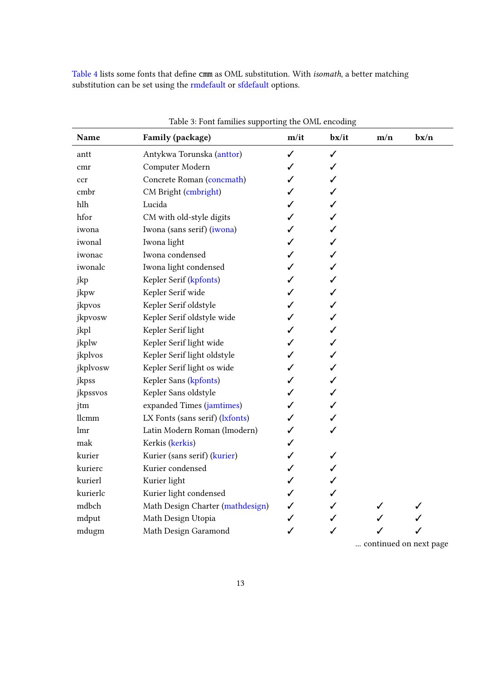[Table 4](#page-13-0) lists some fonts that define cmm as OML substitution. With *isomath*, a better matching substitution can be set using the [rmdefault](#page-3-1) or [sfdefault](#page-3-2) options.

<span id="page-12-0"></span>

| Name     | Family (package)                 | m/it | b <b>x</b> /it | m/n | bx/n |
|----------|----------------------------------|------|----------------|-----|------|
| antt     | Antykwa Torunska (anttor)        | ✓    | ✓              |     |      |
| cmr      | Computer Modern                  | ✓    | ✓              |     |      |
| ccr      | Concrete Roman (concmath)        | ✓    | ✓              |     |      |
| cmbr     | CM Bright (cmbright)             | ✓    | ✓              |     |      |
| hlh      | Lucida                           | ✓    | ✓              |     |      |
| hfor     | CM with old-style digits         |      | ✓              |     |      |
| iwona    | Iwona (sans serif) (iwona)       |      | ✓              |     |      |
| iwonal   | Iwona light                      | ✓    | ✓              |     |      |
| iwonac   | Iwona condensed                  | ✓    | ✓              |     |      |
| iwonalc  | Iwona light condensed            | ✓    | ✓              |     |      |
| jkp      | Kepler Serif (kpfonts)           | ✓    | ✓              |     |      |
| jkpw     | Kepler Serif wide                | ✓    | ✓              |     |      |
| jkpvos   | Kepler Serif oldstyle            | ✓    | ✓              |     |      |
| jkpvosw  | Kepler Serif oldstyle wide       |      | ✓              |     |      |
| jkpl     | Kepler Serif light               |      | ✓              |     |      |
| jkplw    | Kepler Serif light wide          |      | ✓              |     |      |
| jkplvos  | Kepler Serif light oldstyle      |      | ✓              |     |      |
| jkplvosw | Kepler Serif light os wide       |      | ✓              |     |      |
| jkpss    | Kepler Sans (kpfonts)            |      | ✓              |     |      |
| jkpssvos | Kepler Sans oldstyle             | ✓    | ✓              |     |      |
| jtm      | expanded Times (jamtimes)        | ╱    | ✓              |     |      |
| llcmm    | LX Fonts (sans serif) (lxfonts)  |      | ✓              |     |      |
| lmr      | Latin Modern Roman (lmodern)     |      | ✓              |     |      |
| mak      | Kerkis (kerkis)                  | ✓    |                |     |      |
| kurier   | Kurier (sans serif) (kurier)     | ✓    | ✓              |     |      |
| kurierc  | Kurier condensed                 | ✓    | ✓              |     |      |
| kurierl  | Kurier light                     |      | ✓              |     |      |
| kurierlc | Kurier light condensed           | ✓    | ✓              |     |      |
| mdbch    | Math Design Charter (mathdesign) | ✓    | ✓              |     |      |
| mdput    | Math Design Utopia               | ✓    | ✓              |     |      |
| mdugm    | Math Design Garamond             | ✓    | ✓              | ✓   |      |

Table 3: Font families supporting the OML encoding

... continued on next page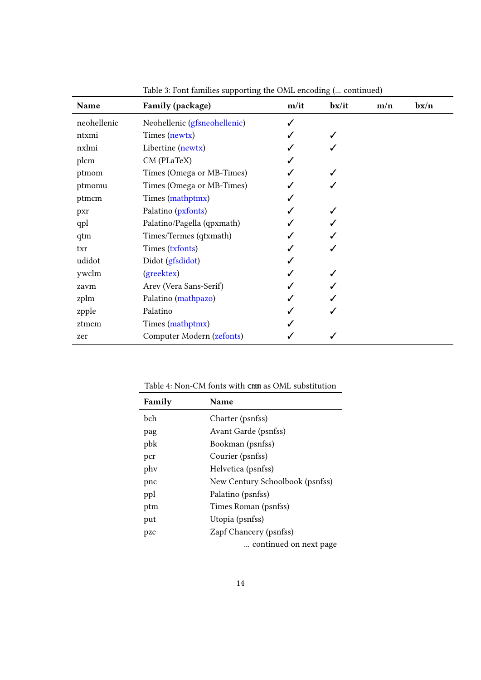| Name        | Family (package)             | m/it | b <b>x</b> /it | m/n | bx/n |
|-------------|------------------------------|------|----------------|-----|------|
| neohellenic | Neohellenic (gfsneohellenic) |      |                |     |      |
| ntxmi       | Times (newtx)                |      |                |     |      |
| nxlmi       | Libertine (newtx)            |      |                |     |      |
| plcm        | CM (PLaTeX)                  |      |                |     |      |
| ptmom       | Times (Omega or MB-Times)    |      |                |     |      |
| ptmomu      | Times (Omega or MB-Times)    |      |                |     |      |
| ptmcm       | Times (mathptmx)             |      |                |     |      |
| pxr         | Palatino ( <i>pxfonts</i> )  |      |                |     |      |
| qpl         | Palatino/Pagella (qpxmath)   |      |                |     |      |
| qtm         | Times/Termes (qtxmath)       |      |                |     |      |
| txr         | Times (txfonts)              |      |                |     |      |
| udidot      | Didot (gfsdidot)             |      |                |     |      |
| ywclm       | (greektex)                   |      |                |     |      |
| zavm        | Arev (Vera Sans-Serif)       |      |                |     |      |
| zplm        | Palatino (mathpazo)          |      |                |     |      |
| zpple       | Palatino                     |      |                |     |      |
| ztmcm       | Times (mathptmx)             |      |                |     |      |
| zer         | Computer Modern (zefonts)    |      |                |     |      |

Table 3: Font families supporting the OML encoding (... continued)

Table 4: Non-CM fonts with cmm as OML substitution

<span id="page-13-0"></span>

| Family      | <b>Name</b>                     |
|-------------|---------------------------------|
| <b>b</b> ch | Charter (psnfss)                |
| pag         | Avant Garde (psnfss)            |
| pbk         | Bookman (psnfss)                |
| pcr         | Courier (psnfss)                |
| phy         | Helvetica (psnfss)              |
| pnc         | New Century Schoolbook (psnfss) |
| ppl         | Palatino (psnfss)               |
| ptm         | Times Roman (psnfss)            |
| put         | Utopia (psnfss)                 |
| pzc         | Zapf Chancery (psnfss)          |
|             | continued on next page          |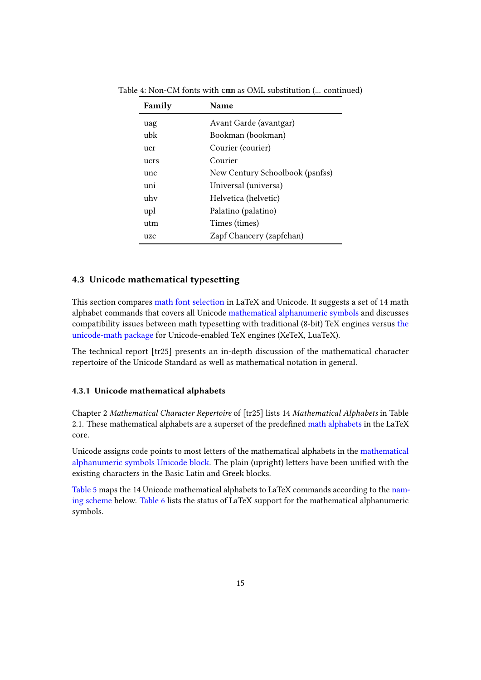| Family | Name                            |
|--------|---------------------------------|
| uag    | Avant Garde (avantgar)          |
| ubk    | Bookman (bookman)               |
| ucr    | Courier (courier)               |
| ucrs   | Courier                         |
| unc    | New Century Schoolbook (psnfss) |
| uni    | Universal (universa)            |
| uhv    | Helvetica (helvetic)            |
| upl    | Palatino (palatino)             |
| utm    | Times (times)                   |
| uzc    | Zapf Chancery (zapfchan)        |
|        |                                 |

Table 4: Non-CM fonts with cmm as OML substitution (... continued)

#### <span id="page-14-0"></span>4.3 Unicode mathematical typesetting

This section compares [math font selection](#page-7-2) in LaTeX and Unicode. It suggests a set of 14 math alphabet commands that covers all Unicode [mathematical alphanumeric symbols](#page-14-1) and discusses compatibility issues between math typesetting with traditional (8-bit) TeX engines versus [the](#page-17-1) [unicode-math package](#page-17-1) for Unicode-enabled TeX engines (XeTeX, LuaTeX).

The technical report [\[tr25\]](#page-19-0) presents an in-depth discussion of the mathematical character repertoire of the Unicode Standard as well as mathematical notation in general.

#### <span id="page-14-1"></span>4.3.1 Unicode mathematical alphabets

Chapter 2 Mathematical Character Repertoire of [\[tr25\]](#page-19-0) lists 14 Mathematical Alphabets in Table 2.1. These mathematical alphabets are a superset of the predefined [math alphabets](#page-8-0) in the LaTeX core.

Unicode assigns code points to most letters of the mathematical alphabets in the [mathematical](http://www.unicode.org/charts/PDF/U1D400.pdf) [alphanumeric symbols Unicode block.](http://www.unicode.org/charts/PDF/U1D400.pdf) The plain (upright) letters have been unified with the existing characters in the Basic Latin and Greek blocks.

[Table 5](#page-15-0) maps the 14 Unicode mathematical alphabets to LaTeX commands according to the [nam](#page-15-1)[ing scheme](#page-15-1) below. [Table 6](#page-16-0) lists the status of LaTeX support for the mathematical alphanumeric symbols.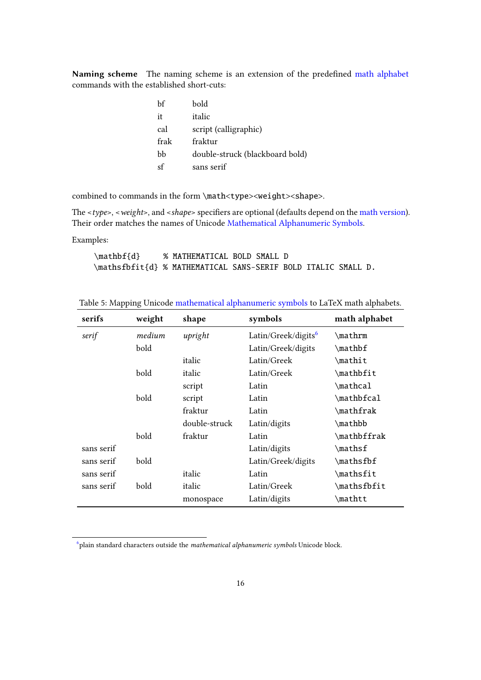<span id="page-15-1"></span>Naming scheme The naming scheme is an extension of the predefined [math alphabet](#page-8-0) commands with the established short-cuts:

| bf   | bold                            |
|------|---------------------------------|
| it   | italic                          |
| cal  | script (calligraphic)           |
| frak | fraktur                         |
| bb   | double-struck (blackboard bold) |
| sf   | sans serif                      |

combined to commands in the form \math<type><weight><shape>.

The  $\langle \textit{type} \rangle$ ,  $\langle \textit{weight} \rangle$ , and  $\langle \textit{shape} \rangle$  specifiers are optional (defaults depend on the [math version\)](#page-8-1). Their order matches the names of Unicode [Mathematical Alphanumeric Symbols.](#page-14-1)

Examples:

<span id="page-15-3"></span>\mathbf{d} % MATHEMATICAL BOLD SMALL D \mathsfbfit{d} % MATHEMATICAL SANS-SERIF BOLD ITALIC SMALL D.

<span id="page-15-0"></span>

| Table 5: Mapping Unicode mathematical alphanumeric symbols to LaTeX math alphabets. |  |  |  |
|-------------------------------------------------------------------------------------|--|--|--|
|                                                                                     |  |  |  |

| serifs     | weight | shape         | symbols                         | math alphabet               |
|------------|--------|---------------|---------------------------------|-----------------------------|
| serif      | medium | upright       | Latin/Greek/digits <sup>6</sup> | \mathrm                     |
|            | bold   |               | Latin/Greek/digits              | \mathbf                     |
|            |        | italic        | Latin/Greek                     | \mathit                     |
|            | bold   | italic        | Latin/Greek                     | \mathbfit                   |
|            |        | script        | Latin                           | \mathcal                    |
|            | bold   | script        | Latin                           | \mathbfcal                  |
|            |        | fraktur       | Latin                           | \mathfrak                   |
|            |        | double-struck | Latin/digits                    | \mathbb                     |
|            | bold   | fraktur       | Latin                           | \mathbffrak                 |
| sans serif |        |               | Latin/digits                    | $\mathcal{L}_{\text{math}}$ |
| sans serif | bold   |               | Latin/Greek/digits              | \mathsfbf                   |
| sans serif |        | italic        | Latin                           | \mathsfit                   |
| sans serif | bold   | italic        | Latin/Greek                     | \mathsfbfit                 |
|            |        | monospace     | Latin/digits                    | \mathtt                     |

<span id="page-15-2"></span><sup>[6](#page-15-3)</sup> plain standard characters outside the *mathematical alphanumeric symbols* Unicode block.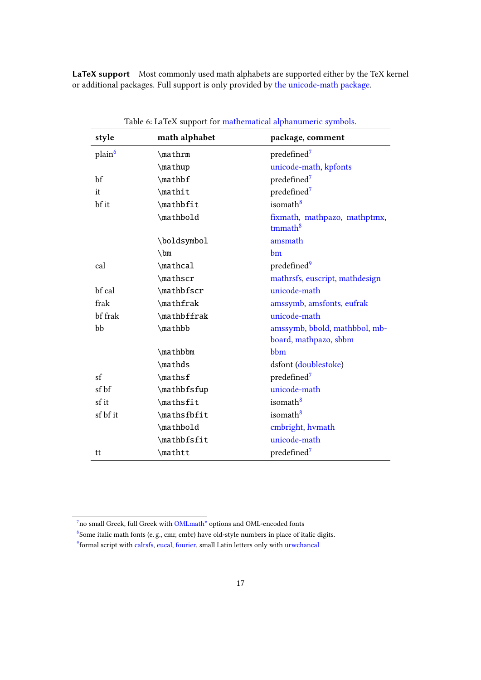<span id="page-16-0"></span>LaTeX support Most commonly used math alphabets are supported either by the TeX kernel or additional packages. Full support is only provided by [the unicode-math package.](#page-17-1)

| style              | math alphabet | package, comment                                       |
|--------------------|---------------|--------------------------------------------------------|
| plain <sup>6</sup> | \mathrm       | predefined <sup>7</sup>                                |
|                    | \mathup       | unicode-math, kpfonts                                  |
| bf                 | \mathbf       | predefined <sup>7</sup>                                |
| it                 | \mathit       | predefined <sup>7</sup>                                |
| bf it              | \mathbfit     | isomath <sup>8</sup>                                   |
|                    | \mathbold     | fixmath, mathpazo, mathptmx,<br>$t$ mmath $8$          |
|                    | \boldsymbol   | amsmath                                                |
|                    | $\mathbb{m}$  | bm                                                     |
| cal                | \mathcal      | predefined <sup>9</sup>                                |
|                    | \mathscr      | mathrsfs, euscript, mathdesign                         |
| bf cal             | \mathbfscr    | unicode-math                                           |
| frak               | \mathfrak     | amssymb, amsfonts, eufrak                              |
| bf frak            | \mathbffrak   | unicode-math                                           |
| bb                 | \mathbb       | amssymb, bbold, mathbbol, mb-<br>board, mathpazo, sbbm |
|                    | \mathbbm      | bbm                                                    |
|                    | \mathds       | dsfont (doublestoke)                                   |
| sf                 | \mathsf       | predefined <sup>7</sup>                                |
| sf bf              | \mathbfsfup   | unicode-math                                           |
| sf it              | \mathsfit     | isomath <sup>8</sup>                                   |
| sf bf it           | \mathsfbfit   | isomath <sup>8</sup>                                   |
|                    | \mathbold     | cmbright, hvmath                                       |
|                    | \mathbfsfit   | unicode-math                                           |
| tt                 | \mathtt       | predefined <sup>7</sup>                                |

<span id="page-16-6"></span><span id="page-16-5"></span><span id="page-16-4"></span>Table 6: LaTeX support for [mathematical alphanumeric symbols.](#page-14-1)

<span id="page-16-3"></span><span id="page-16-2"></span><span id="page-16-1"></span><sup>&</sup>lt;sup>[7](#page-16-4)</sup>no small Greek, full Greek with **OMLmath**<sup>\*</sup> options and **OML-encoded** fonts  $8$ Some italic math fonts (e.g., cmr, cmbr) have old-style numbers in place of italic digits. <sup>[9](#page-16-6)</sup> formal script with [calrsfs,](http://mirror.ctan.org/help/Catalogue/entries/calrsfs.html) [eucal,](http://mirror.ctan.org/help/Catalogue/entries/eucal.html) [fourier,](http://mirror.ctan.org/help/Catalogue/entries/fourier.html) small Latin letters only with [urwchancal](http://mirror.ctan.org/help/Catalogue/entries/urwchancal.html)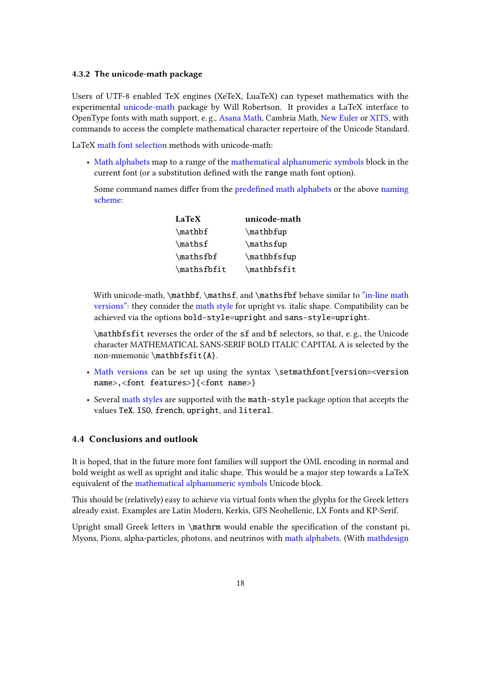#### <span id="page-17-1"></span>4.3.2 The unicode-math package

Users of UTF-8 enabled TeX engines (XeTeX, LuaTeX) can typeset mathematics with the experimental [unicode-math](http://mirror.ctan.org/help/Catalogue/entries/unicode-math.html) package by Will Robertson. It provides a LaTeX interface to OpenType fonts with math support, e. g., [Asana Math,](http://mirror.ctan.org/help/Catalogue/entries/asana-math.html) Cambria Math, [New Euler](https://github.com/khaledhosny/euler-otf) or [XITS,](http://mirror.ctan.org/help/Catalogue/entries/xits.html) with commands to access the complete mathematical character repertoire of the Unicode Standard.

LaTeX [math font selection](#page-7-2) methods with unicode-math:

• [Math alphabets](#page-8-0) map to a range of the [mathematical alphanumeric symbols](#page-14-1) block in the current font (or a substitution defined with the range math font option).

Some command names differ from the predefined math alphabets or the above [naming](#page-15-1) [scheme:](#page-15-1)

| LaTeX                       | unicode-math |
|-----------------------------|--------------|
| $\mathcal{L}_{\mathcal{L}}$ | \mathbfup    |
| $\mathcal{L}$               | \mathsfup    |
| $\mathcal{L}$               | \mathbfsfup  |
| \mathsfbfit                 | \mathbfsfit  |

With unicode-math, \mathbf, \mathsf, and \mathsfbf behave similar to ["in-line math](#page-9-1) [versions":](#page-9-1) they consider the [math style](#page-9-0) for upright vs. italic shape. Compatibility can be achieved via the options bold-style=upright and sans-style=upright.

\mathbfsfit reverses the order of the sf and bf selectors, so that, e. g., the Unicode character MATHEMATICAL SANS-SERIF BOLD ITALIC CAPITAL A is selected by the non-mnemonic \mathbfsfit{A}.

- [Math versions](#page-8-1) can be set up using the syntax \setmathfont[version=<version name>,<font features>]{<font name>}
- Several [math styles](#page-9-0) are supported with the math-style package option that accepts the values TeX, ISO, french, upright, and literal.

### <span id="page-17-0"></span>4.4 Conclusions and outlook

It is hoped, that in the future more font families will support the OML encoding in normal and bold weight as well as upright and italic shape. This would be a major step towards a LaTeX equivalent of the [mathematical alphanumeric symbols](#page-14-1) Unicode block.

This should be (relatively) easy to achieve via virtual fonts when the glyphs for the Greek letters already exist. Examples are Latin Modern, Kerkis, GFS Neohellenic, LX Fonts and KP-Serif.

Upright small Greek letters in \mathrm would enable the specification of the constant pi, Myons, Pions, alpha-particles, photons, and neutrinos with [math alphabets.](#page-8-0) (With [mathdesign](http://mirror.ctan.org/help/Catalogue/entries/mathdesign.html)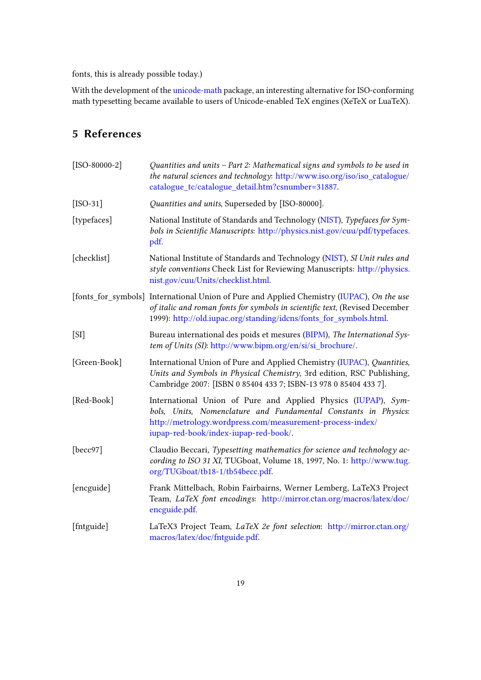fonts, this is already possible today.)

With the development of the [unicode-math](http://mirror.ctan.org/help/Catalogue/entries/unicode-math.html) package, an interesting alternative for ISO-conforming math typesetting became available to users of Unicode-enabled TeX engines (XeTeX or LuaTeX).

# <span id="page-18-0"></span>5 References

<span id="page-18-10"></span><span id="page-18-9"></span><span id="page-18-8"></span><span id="page-18-7"></span><span id="page-18-6"></span><span id="page-18-5"></span><span id="page-18-4"></span><span id="page-18-3"></span><span id="page-18-2"></span><span id="page-18-1"></span>

| $[ISO-80000-2]$ | Quantities and units - Part 2: Mathematical signs and symbols to be used in<br>the natural sciences and technology: http://www.iso.org/iso/iso_catalogue/<br>catalogue_tc/catalogue_detail.htm?csnumber=31887.                                 |
|-----------------|------------------------------------------------------------------------------------------------------------------------------------------------------------------------------------------------------------------------------------------------|
| $[ISO-31]$      | Quantities and units, Superseded by [ISO-80000].                                                                                                                                                                                               |
| [typefaces]     | National Institute of Standards and Technology (NIST), Typefaces for Sym-<br>bols in Scientific Manuscripts: http://physics.nist.gov/cuu/pdf/typefaces.<br>pdf.                                                                                |
| [checklist]     | National Institute of Standards and Technology (NIST), SI Unit rules and<br>style conventions Check List for Reviewing Manuscripts: http://physics.<br>nist.gov/cuu/Units/checklist.html.                                                      |
|                 | [fonts_for_symbols] International Union of Pure and Applied Chemistry (IUPAC), On the use<br>of italic and roman fonts for symbols in scientific text, (Revised December<br>1999): http://old.iupac.org/standing/idcns/fonts_for_symbols.html. |
| [SI]            | Bureau international des poids et mesures (BIPM), The International Sys-<br>tem of Units (SI): http://www.bipm.org/en/si/si_brochure/.                                                                                                         |
| [Green-Book]    | International Union of Pure and Applied Chemistry (IUPAC), Quantities,<br>Units and Symbols in Physical Chemistry, 3rd edition, RSC Publishing,<br>Cambridge 2007: [ISBN 0 85404 433 7; ISBN-13 978 0 85404 433 7].                            |
| [Red-Book]      | International Union of Pure and Applied Physics (IUPAP), Sym-<br>bols, Units, Nomenclature and Fundamental Constants in Physics:<br>http://metrology.wordpress.com/measurement-process-index/<br>iupap-red-book/index-iupap-red-book/.         |
| [becc97]        | Claudio Beccari, Typesetting mathematics for science and technology ac-<br>cording to ISO 31 XI, TUGboat, Volume 18, 1997, No. 1: http://www.tug.<br>org/TUGboat/tb18-1/tb54becc.pdf.                                                          |
| [encguide]      | Frank Mittelbach, Robin Fairbairns, Werner Lemberg, LaTeX3 Project<br>Team, LaTeX font encodings: http://mirror.ctan.org/macros/latex/doc/<br>encguide.pdf.                                                                                    |
| [fntguide]      | LaTeX3 Project Team, LaTeX 2e font selection: http://mirror.ctan.org/<br>macros/latex/doc/fntguide.pdf.                                                                                                                                        |